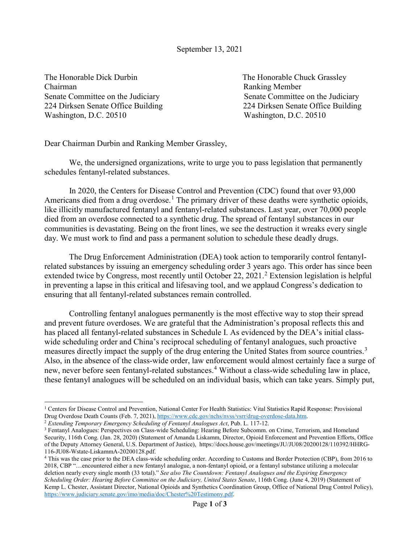September 13, 2021

The Honorable Dick Durbin The Honorable Chuck Grassley Chairman **Ranking Member** Ranking Member Washington, D.C. 20510 Washington, D.C. 20510

Senate Committee on the Judiciary Senate Committee on the Judiciary 224 Dirksen Senate Office Building 224 Dirksen Senate Office Building

Dear Chairman Durbin and Ranking Member Grassley,

 We, the undersigned organizations, write to urge you to pass legislation that permanently schedules fentanyl-related substances.

 In 2020, the Centers for Disease Control and Prevention (CDC) found that over 93,000 Americans died from a drug overdose.<sup>[1](#page-0-0)</sup> The primary driver of these deaths were synthetic opioids, like illicitly manufactured fentanyl and fentanyl-related substances. Last year, over 70,000 people died from an overdose connected to a synthetic drug. The spread of fentanyl substances in our communities is devastating. Being on the front lines, we see the destruction it wreaks every single day. We must work to find and pass a permanent solution to schedule these deadly drugs.

The Drug Enforcement Administration (DEA) took action to temporarily control fentanylrelated substances by issuing an emergency scheduling order 3 years ago. This order has since been extended twice by Congress, most recently until October [2](#page-0-1)2, 2021.<sup>2</sup> Extension legislation is helpful in preventing a lapse in this critical and lifesaving tool, and we applaud Congress's dedication to ensuring that all fentanyl-related substances remain controlled.

Controlling fentanyl analogues permanently is the most effective way to stop their spread and prevent future overdoses. We are grateful that the Administration's proposal reflects this and has placed all fentanyl-related substances in Schedule I. As evidenced by the DEA's initial classwide scheduling order and China's reciprocal scheduling of fentanyl analogues, such proactive measures directly impact the supply of the drug entering the United States from source countries.<sup>[3](#page-0-2)</sup> Also, in the absence of the class-wide order, law enforcement would almost certainly face a surge of new, never before seen fentanyl-related substances. [4](#page-0-3) Without a class-wide scheduling law in place, these fentanyl analogues will be scheduled on an individual basis, which can take years. Simply put,

 $\overline{a}$ 

<span id="page-0-0"></span><sup>&</sup>lt;sup>1</sup> Centers for Disease Control and Prevention, National Center For Health Statistics: Vital Statistics Rapid Response: Provisional Drug Overdose Death Counts (Feb. 7, 2021)[, https://www.cdc.gov/nchs/nvss/vsrr/drug-overdose-data.htm.](https://www.cdc.gov/nchs/nvss/vsrr/drug-overdose-data.htm)<br><sup>2</sup> Extending Temporary Emergency Scheduling of Fentanyl Analogues Act, Pub. L. 117-12.<br><sup>3</sup> Fentanyl Analogues: Perspect

<span id="page-0-1"></span>

<span id="page-0-2"></span>Security, 116th Cong. (Jan. 28, 2020) (Statement of Amanda Liskamm, Director, Opioid Enforcement and Prevention Efforts, Office of the Deputy Attorney General, U.S. Department of Justice), https://docs.house.gov/meetings/JU/JU08/20200128/110392/HHRG-116-JU08-Wstate-LiskammA-20200128.pdf.

<span id="page-0-3"></span><sup>4</sup> This was the case prior to the DEA class-wide scheduling order. According to Customs and Border Protection (CBP), from 2016 to 2018, CBP "…encountered either a new fentanyl analogue, a non-fentanyl opioid, or a fentanyl substance utilizing a molecular deletion nearly every single month (33 total)." *See also The Countdown: Fentanyl Analogues and the Expiring Emergency Scheduling Order: Hearing Before Committee on the Judiciary, United States Senate*, 116th Cong. (June 4, 2019) (Statement of Kemp L. Chester, Assistant Director, National Opioids and Synthetics Coordination Group, Office of National Drug Control Policy), [https://www.judiciary.senate.gov/imo/media/doc/Chester%20Testimony.pdf.](https://www.judiciary.senate.gov/imo/media/doc/Chester%20Testimony.pdf)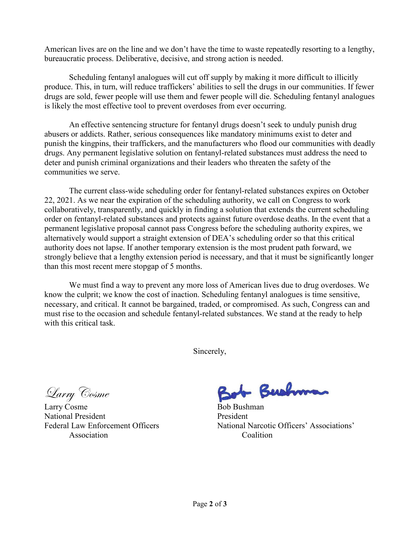American lives are on the line and we don't have the time to waste repeatedly resorting to a lengthy, bureaucratic process. Deliberative, decisive, and strong action is needed.

Scheduling fentanyl analogues will cut off supply by making it more difficult to illicitly produce. This, in turn, will reduce traffickers' abilities to sell the drugs in our communities. If fewer drugs are sold, fewer people will use them and fewer people will die. Scheduling fentanyl analogues is likely the most effective tool to prevent overdoses from ever occurring.

An effective sentencing structure for fentanyl drugs doesn't seek to unduly punish drug abusers or addicts. Rather, serious consequences like mandatory minimums exist to deter and punish the kingpins, their traffickers, and the manufacturers who flood our communities with deadly drugs. Any permanent legislative solution on fentanyl-related substances must address the need to deter and punish criminal organizations and their leaders who threaten the safety of the communities we serve.

 The current class-wide scheduling order for fentanyl-related substances expires on October 22, 2021. As we near the expiration of the scheduling authority, we call on Congress to work collaboratively, transparently, and quickly in finding a solution that extends the current scheduling order on fentanyl-related substances and protects against future overdose deaths. In the event that a permanent legislative proposal cannot pass Congress before the scheduling authority expires, we alternatively would support a straight extension of DEA's scheduling order so that this critical authority does not lapse. If another temporary extension is the most prudent path forward, we strongly believe that a lengthy extension period is necessary, and that it must be significantly longer than this most recent mere stopgap of 5 months.

We must find a way to prevent any more loss of American lives due to drug overdoses. We know the culprit; we know the cost of inaction. Scheduling fentanyl analogues is time sensitive, necessary, and critical. It cannot be bargained, traded, or compromised. As such, Congress can and must rise to the occasion and schedule fentanyl-related substances. We stand at the ready to help with this critical task.

Sincerely,

Larry Cosme

Larry Cosme Bob Bushman National President President Association Coalition

Bushm

Federal Law Enforcement Officers National Narcotic Officers' Associations'